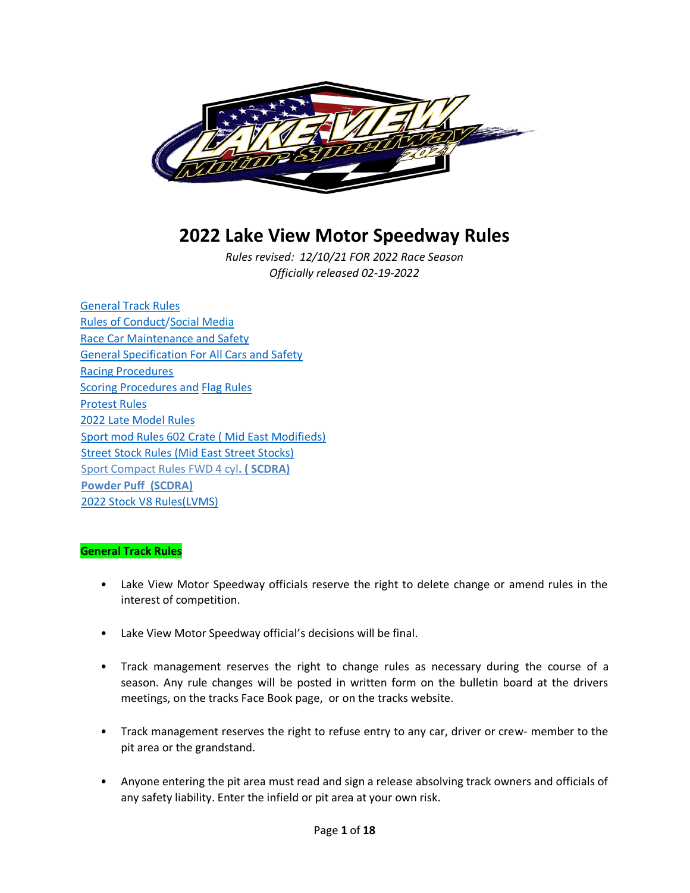

# **2022 Lake View Motor Speedway Rules**

*Rules revised: 12/10/21 FOR 2022 Race Season Officially released 02-19-2022*

General Track Rules Rules of Conduct/Social Media Race Car Maintenance and Safety General Specification For All Cars and Safety Racing Procedures Scoring Procedures and Flag Rules Protest Rules 2022 Late Model Rules Sport mod Rules 602 Crate ( Mid East Modifieds) Street Stock Rules (Mid East Street Stocks) Sport Compact Rules FWD 4 cyl**. ( SCDRA) Powder Puff (SCDRA)** 2022 Stock V8 Rules(LVMS)

#### **General Track Rules**

- Lake View Motor Speedway officials reserve the right to delete change or amend rules in the interest of competition.
- Lake View Motor Speedway official's decisions will be final.
- Track management reserves the right to change rules as necessary during the course of a season. Any rule changes will be posted in written form on the bulletin board at the drivers meetings, on the tracks Face Book page, or on the tracks website.
- Track management reserves the right to refuse entry to any car, driver or crew- member to the pit area or the grandstand.
- Anyone entering the pit area must read and sign a release absolving track owners and officials of any safety liability. Enter the infield or pit area at your own risk.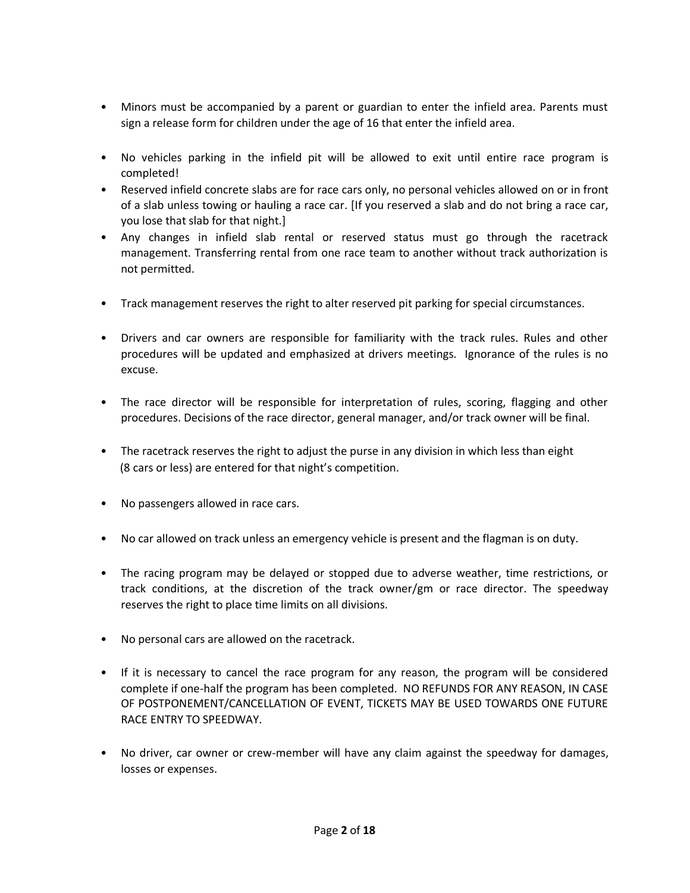- Minors must be accompanied by a parent or guardian to enter the infield area. Parents must sign a release form for children under the age of 16 that enter the infield area.
- No vehicles parking in the infield pit will be allowed to exit until entire race program is completed!
- Reserved infield concrete slabs are for race cars only, no personal vehicles allowed on or in front of a slab unless towing or hauling a race car. [If you reserved a slab and do not bring a race car, you lose that slab for that night.]
- Any changes in infield slab rental or reserved status must go through the racetrack management. Transferring rental from one race team to another without track authorization is not permitted.
- Track management reserves the right to alter reserved pit parking for special circumstances.
- Drivers and car owners are responsible for familiarity with the track rules. Rules and other procedures will be updated and emphasized at drivers meetings. Ignorance of the rules is no excuse.
- The race director will be responsible for interpretation of rules, scoring, flagging and other procedures. Decisions of the race director, general manager, and/or track owner will be final.
- The racetrack reserves the right to adjust the purse in any division in which less than eight (8 cars or less) are entered for that night's competition.
- No passengers allowed in race cars.
- No car allowed on track unless an emergency vehicle is present and the flagman is on duty.
- The racing program may be delayed or stopped due to adverse weather, time restrictions, or track conditions, at the discretion of the track owner/gm or race director. The speedway reserves the right to place time limits on all divisions.
- No personal cars are allowed on the racetrack.
- If it is necessary to cancel the race program for any reason, the program will be considered complete if one-half the program has been completed. NO REFUNDS FOR ANY REASON, IN CASE OF POSTPONEMENT/CANCELLATION OF EVENT, TICKETS MAY BE USED TOWARDS ONE FUTURE RACE ENTRY TO SPEEDWAY.
- No driver, car owner or crew-member will have any claim against the speedway for damages, losses or expenses.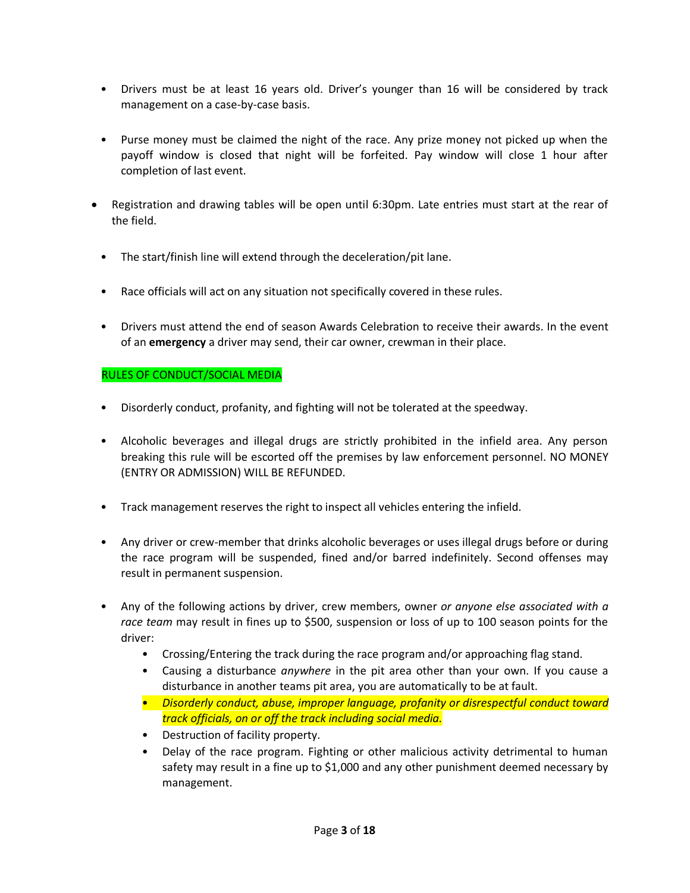- Drivers must be at least 16 years old. Driver's younger than 16 will be considered by track management on a case-by-case basis.
- Purse money must be claimed the night of the race. Any prize money not picked up when the payoff window is closed that night will be forfeited. Pay window will close 1 hour after completion of last event.
- Registration and drawing tables will be open until 6:30pm. Late entries must start at the rear of the field.
	- The start/finish line will extend through the deceleration/pit lane.
	- Race officials will act on any situation not specifically covered in these rules.
	- Drivers must attend the end of season Awards Celebration to receive their awards. In the event of an **emergency** a driver may send, their car owner, crewman in their place.

### RULES OF CONDUCT/SOCIAL MEDIA

- Disorderly conduct, profanity, and fighting will not be tolerated at the speedway.
- Alcoholic beverages and illegal drugs are strictly prohibited in the infield area. Any person breaking this rule will be escorted off the premises by law enforcement personnel. NO MONEY (ENTRY OR ADMISSION) WILL BE REFUNDED.
- Track management reserves the right to inspect all vehicles entering the infield.
- Any driver or crew-member that drinks alcoholic beverages or uses illegal drugs before or during the race program will be suspended, fined and/or barred indefinitely. Second offenses may result in permanent suspension.
- Any of the following actions by driver, crew members, owner *or anyone else associated with a race team* may result in fines up to \$500, suspension or loss of up to 100 season points for the driver:
	- Crossing/Entering the track during the race program and/or approaching flag stand.
	- Causing a disturbance *anywhere* in the pit area other than your own. If you cause a disturbance in another teams pit area, you are automatically to be at fault.
	- *Disorderly conduct, abuse, improper language, profanity or disrespectful conduct toward track officials, on or off the track including social media.*
	- Destruction of facility property.
	- Delay of the race program. Fighting or other malicious activity detrimental to human safety may result in a fine up to \$1,000 and any other punishment deemed necessary by management.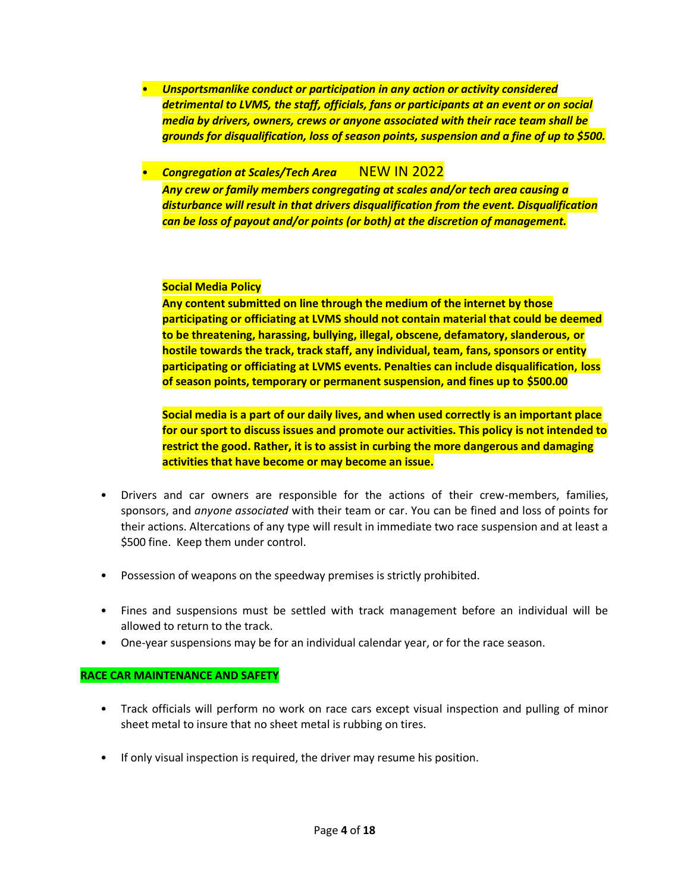- *Unsportsmanlike conduct or participation in any action or activity considered detrimental to LVMS, the staff, officials, fans or participants at an event or on social media by drivers, owners, crews or anyone associated with their race team shall be grounds for disqualification, loss of season points, suspension and a fine of up to \$500.*
- *Congregation at Scales/Tech Area* NEW IN 2022 *Any crew or family members congregating at scales and/or tech area causing a disturbance will result in that drivers disqualification from the event. Disqualification can be loss of payout and/or points (or both) at the discretion of management.*

#### **Social Media Policy**

**Any content submitted on line through the medium of the internet by those participating or officiating at LVMS should not contain material that could be deemed to be threatening, harassing, bullying, illegal, obscene, defamatory, slanderous, or hostile towards the track, track staff, any individual, team, fans, sponsors or entity participating or officiating at LVMS events. Penalties can include disqualification, loss of season points, temporary or permanent suspension, and fines up to \$500.00**

**Social media is a part of our daily lives, and when used correctly is an important place for our sport to discuss issues and promote our activities. This policy is not intended to restrict the good. Rather, it is to assist in curbing the more dangerous and damaging activities that have become or may become an issue.**

- Drivers and car owners are responsible for the actions of their crew-members, families, sponsors, and *anyone associated* with their team or car. You can be fined and loss of points for their actions. Altercations of any type will result in immediate two race suspension and at least a \$500 fine. Keep them under control.
- Possession of weapons on the speedway premises is strictly prohibited.
- Fines and suspensions must be settled with track management before an individual will be allowed to return to the track.
- One-year suspensions may be for an individual calendar year, or for the race season.

#### **RACE CAR MAINTENANCE AND SAFETY**

- Track officials will perform no work on race cars except visual inspection and pulling of minor sheet metal to insure that no sheet metal is rubbing on tires.
- If only visual inspection is required, the driver may resume his position.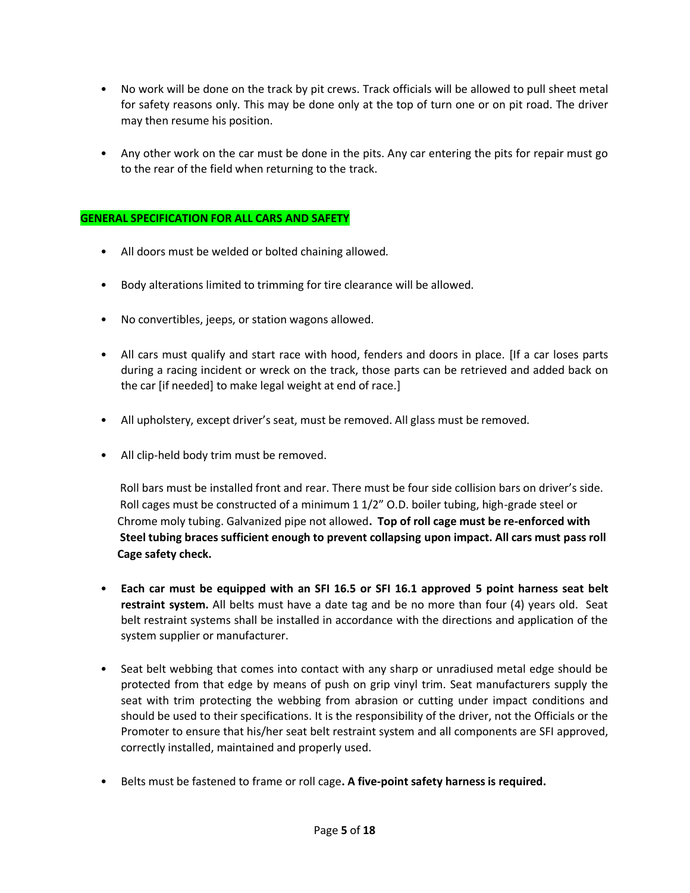- No work will be done on the track by pit crews. Track officials will be allowed to pull sheet metal for safety reasons only. This may be done only at the top of turn one or on pit road. The driver may then resume his position.
- Any other work on the car must be done in the pits. Any car entering the pits for repair must go to the rear of the field when returning to the track.

#### **GENERAL SPECIFICATION FOR ALL CARS AND SAFETY**

- All doors must be welded or bolted chaining allowed.
- Body alterations limited to trimming for tire clearance will be allowed.
- No convertibles, jeeps, or station wagons allowed.
- All cars must qualify and start race with hood, fenders and doors in place. [If a car loses parts during a racing incident or wreck on the track, those parts can be retrieved and added back on the car [if needed] to make legal weight at end of race.]
- All upholstery, except driver's seat, must be removed. All glass must be removed.
- All clip-held body trim must be removed.

 Roll bars must be installed front and rear. There must be four side collision bars on driver's side. Roll cages must be constructed of a minimum 1 1/2" O.D. boiler tubing, high-grade steel or Chrome moly tubing. Galvanized pipe not allowed**. Top of roll cage must be re-enforced with Steel tubing braces sufficient enough to prevent collapsing upon impact. All cars must pass roll Cage safety check.**

- **Each car must be equipped with an SFI 16.5 or SFI 16.1 approved 5 point harness seat belt restraint system.** All belts must have a date tag and be no more than four (4) years old. Seat belt restraint systems shall be installed in accordance with the directions and application of the system supplier or manufacturer.
- Seat belt webbing that comes into contact with any sharp or unradiused metal edge should be protected from that edge by means of push on grip vinyl trim. Seat manufacturers supply the seat with trim protecting the webbing from abrasion or cutting under impact conditions and should be used to their specifications. It is the responsibility of the driver, not the Officials or the Promoter to ensure that his/her seat belt restraint system and all components are SFI approved, correctly installed, maintained and properly used.
- Belts must be fastened to frame or roll cage**. A five-point safety harness is required.**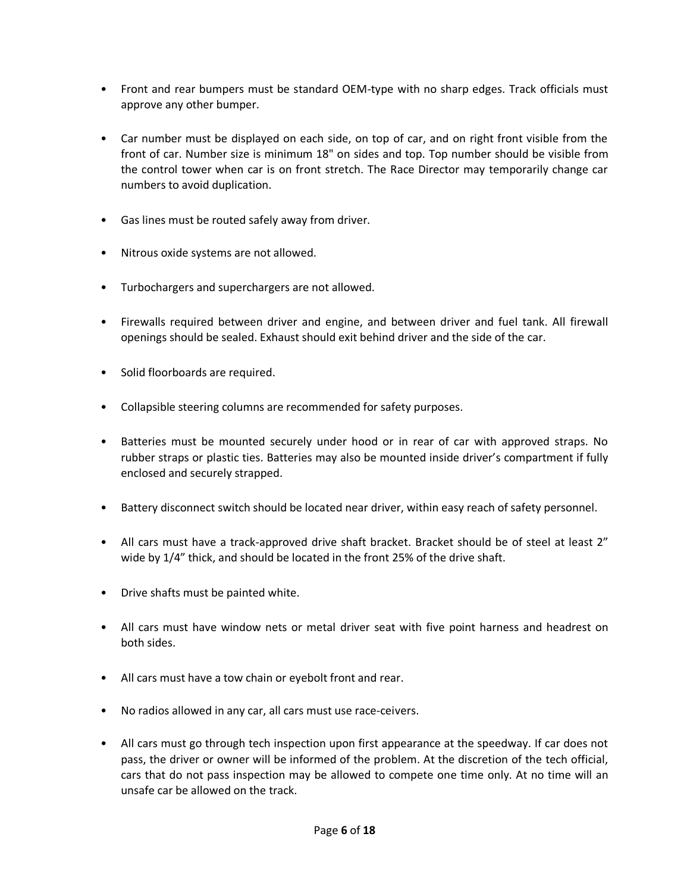- Front and rear bumpers must be standard OEM-type with no sharp edges. Track officials must approve any other bumper.
- Car number must be displayed on each side, on top of car, and on right front visible from the front of car. Number size is minimum 18" on sides and top. Top number should be visible from the control tower when car is on front stretch. The Race Director may temporarily change car numbers to avoid duplication.
- Gas lines must be routed safely away from driver.
- Nitrous oxide systems are not allowed.
- Turbochargers and superchargers are not allowed.
- Firewalls required between driver and engine, and between driver and fuel tank. All firewall openings should be sealed. Exhaust should exit behind driver and the side of the car.
- Solid floorboards are required.
- Collapsible steering columns are recommended for safety purposes.
- Batteries must be mounted securely under hood or in rear of car with approved straps. No rubber straps or plastic ties. Batteries may also be mounted inside driver's compartment if fully enclosed and securely strapped.
- Battery disconnect switch should be located near driver, within easy reach of safety personnel.
- All cars must have a track-approved drive shaft bracket. Bracket should be of steel at least 2" wide by 1/4" thick, and should be located in the front 25% of the drive shaft.
- Drive shafts must be painted white.
- All cars must have window nets or metal driver seat with five point harness and headrest on both sides.
- All cars must have a tow chain or eyebolt front and rear.
- No radios allowed in any car, all cars must use race-ceivers.
- All cars must go through tech inspection upon first appearance at the speedway. If car does not pass, the driver or owner will be informed of the problem. At the discretion of the tech official, cars that do not pass inspection may be allowed to compete one time only. At no time will an unsafe car be allowed on the track.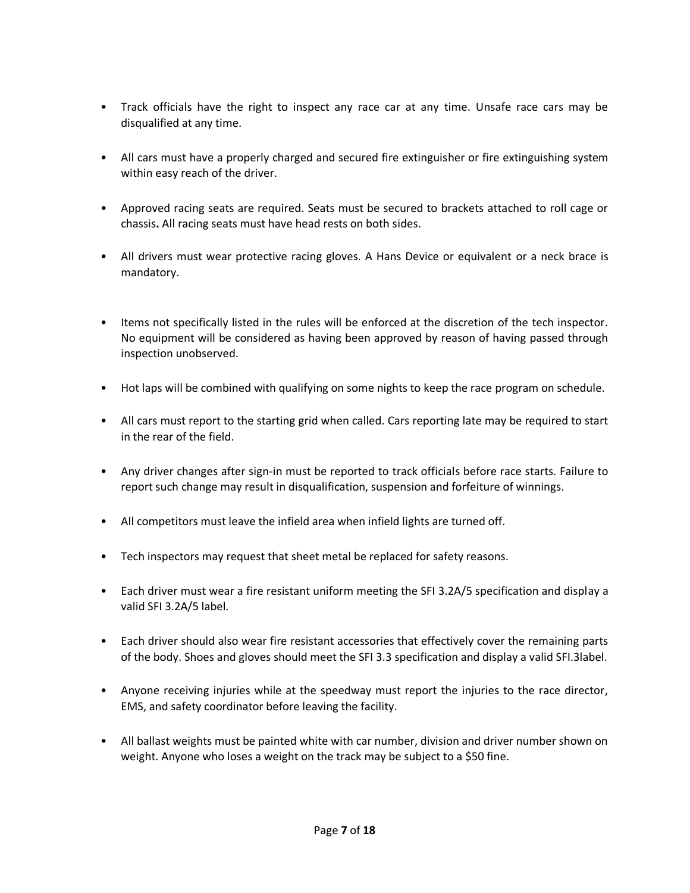- Track officials have the right to inspect any race car at any time. Unsafe race cars may be disqualified at any time.
- All cars must have a properly charged and secured fire extinguisher or fire extinguishing system within easy reach of the driver.
- Approved racing seats are required. Seats must be secured to brackets attached to roll cage or chassis**.** All racing seats must have head rests on both sides.
- All drivers must wear protective racing gloves. A Hans Device or equivalent or a neck brace is mandatory.
- Items not specifically listed in the rules will be enforced at the discretion of the tech inspector. No equipment will be considered as having been approved by reason of having passed through inspection unobserved.
- Hot laps will be combined with qualifying on some nights to keep the race program on schedule.
- All cars must report to the starting grid when called. Cars reporting late may be required to start in the rear of the field.
- Any driver changes after sign-in must be reported to track officials before race starts. Failure to report such change may result in disqualification, suspension and forfeiture of winnings.
- All competitors must leave the infield area when infield lights are turned off.
- Tech inspectors may request that sheet metal be replaced for safety reasons.
- Each driver must wear a fire resistant uniform meeting the SFI 3.2A/5 specification and display a valid SFI 3.2A/5 label.
- Each driver should also wear fire resistant accessories that effectively cover the remaining parts of the body. Shoes and gloves should meet the SFI 3.3 specification and display a valid SFI.3label.
- Anyone receiving injuries while at the speedway must report the injuries to the race director, EMS, and safety coordinator before leaving the facility.
- All ballast weights must be painted white with car number, division and driver number shown on weight. Anyone who loses a weight on the track may be subject to a \$50 fine.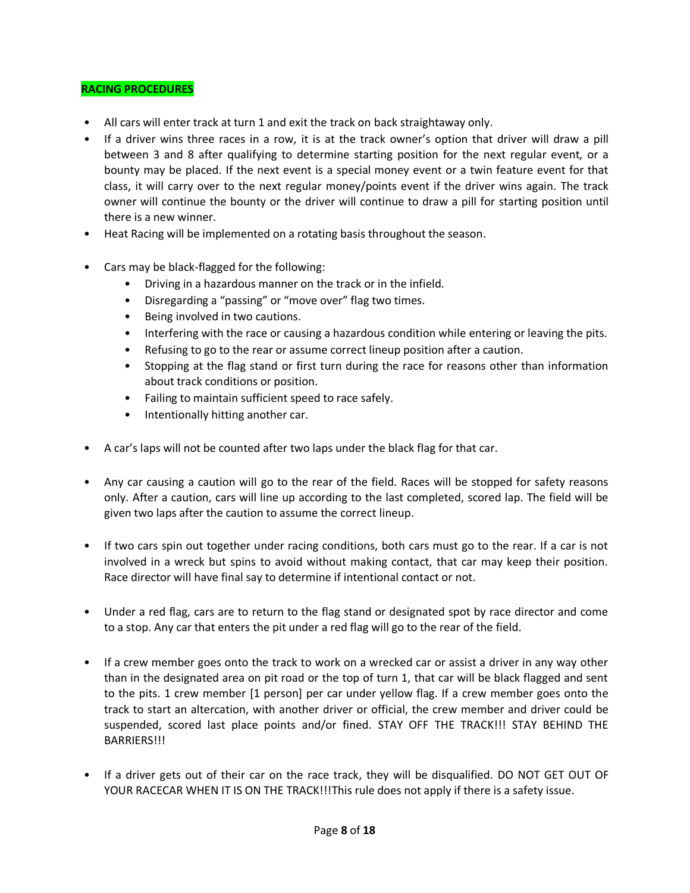#### **RACING PROCEDURES**

- All cars will enter track at turn 1 and exit the track on back straightaway only.
- If a driver wins three races in a row, it is at the track owner's option that driver will draw a pill between 3 and 8 after qualifying to determine starting position for the next regular event, or a bounty may be placed. If the next event is a special money event or a twin feature event for that class, it will carry over to the next regular money/points event if the driver wins again. The track owner will continue the bounty or the driver will continue to draw a pill for starting position until there is a new winner.
- Heat Racing will be implemented on a rotating basis throughout the season.
- Cars may be black-flagged for the following:
	- Driving in a hazardous manner on the track or in the infield.
	- Disregarding a "passing" or "move over" flag two times.
	- Being involved in two cautions.
	- Interfering with the race or causing a hazardous condition while entering or leaving the pits.
	- Refusing to go to the rear or assume correct lineup position after a caution.
	- Stopping at the flag stand or first turn during the race for reasons other than information about track conditions or position.
	- Failing to maintain sufficient speed to race safely.
	- Intentionally hitting another car.
- A car's laps will not be counted after two laps under the black flag for that car.
- Any car causing a caution will go to the rear of the field. Races will be stopped for safety reasons only. After a caution, cars will line up according to the last completed, scored lap. The field will be given two laps after the caution to assume the correct lineup.
- If two cars spin out together under racing conditions, both cars must go to the rear. If a car is not involved in a wreck but spins to avoid without making contact, that car may keep their position. Race director will have final say to determine if intentional contact or not.
- Under a red flag, cars are to return to the flag stand or designated spot by race director and come to a stop. Any car that enters the pit under a red flag will go to the rear of the field.
- If a crew member goes onto the track to work on a wrecked car or assist a driver in any way other than in the designated area on pit road or the top of turn 1, that car will be black flagged and sent to the pits. 1 crew member [1 person] per car under yellow flag. If a crew member goes onto the track to start an altercation, with another driver or official, the crew member and driver could be suspended, scored last place points and/or fined. STAY OFF THE TRACK!!! STAY BEHIND THE BARRIERS!!!
- If a driver gets out of their car on the race track, they will be disqualified. DO NOT GET OUT OF YOUR RACECAR WHEN IT IS ON THE TRACK!!!This rule does not apply if there is a safety issue.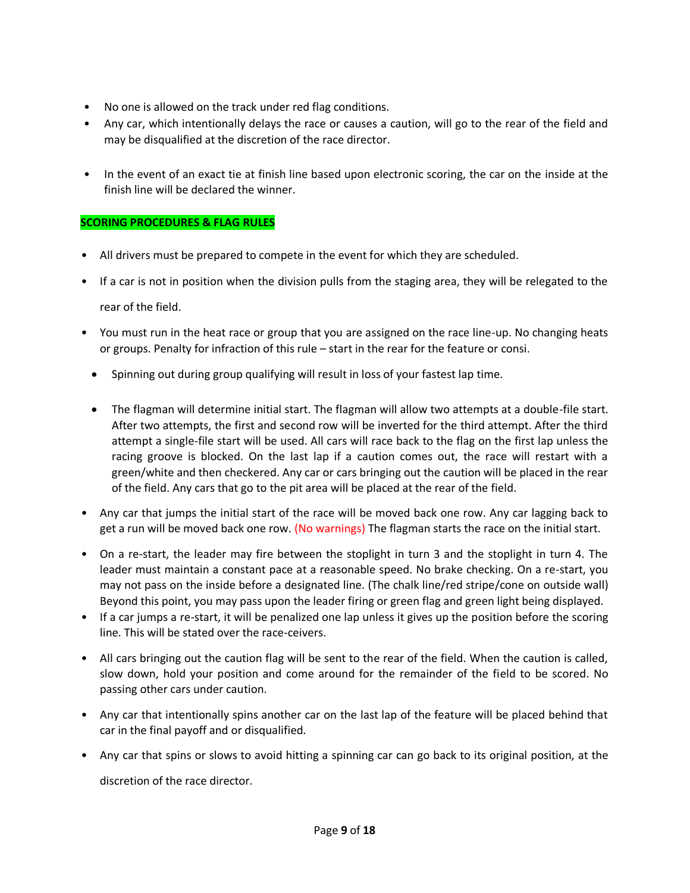- No one is allowed on the track under red flag conditions.
- Any car, which intentionally delays the race or causes a caution, will go to the rear of the field and may be disqualified at the discretion of the race director.
- In the event of an exact tie at finish line based upon electronic scoring, the car on the inside at the finish line will be declared the winner.

### **SCORING PROCEDURES & FLAG RULES**

- All drivers must be prepared to compete in the event for which they are scheduled.
- If a car is not in position when the division pulls from the staging area, they will be relegated to the rear of the field.
- You must run in the heat race or group that you are assigned on the race line-up. No changing heats or groups. Penalty for infraction of this rule – start in the rear for the feature or consi.
	- Spinning out during group qualifying will result in loss of your fastest lap time.
	- The flagman will determine initial start. The flagman will allow two attempts at a double-file start. After two attempts, the first and second row will be inverted for the third attempt. After the third attempt a single-file start will be used. All cars will race back to the flag on the first lap unless the racing groove is blocked. On the last lap if a caution comes out, the race will restart with a green/white and then checkered. Any car or cars bringing out the caution will be placed in the rear of the field. Any cars that go to the pit area will be placed at the rear of the field.
- Any car that jumps the initial start of the race will be moved back one row. Any car lagging back to get a run will be moved back one row. (No warnings) The flagman starts the race on the initial start.
- On a re-start, the leader may fire between the stoplight in turn 3 and the stoplight in turn 4. The leader must maintain a constant pace at a reasonable speed. No brake checking. On a re-start, you may not pass on the inside before a designated line. (The chalk line/red stripe/cone on outside wall) Beyond this point, you may pass upon the leader firing or green flag and green light being displayed.
- If a car jumps a re-start, it will be penalized one lap unless it gives up the position before the scoring line. This will be stated over the race-ceivers.
- All cars bringing out the caution flag will be sent to the rear of the field. When the caution is called, slow down, hold your position and come around for the remainder of the field to be scored. No passing other cars under caution.
- Any car that intentionally spins another car on the last lap of the feature will be placed behind that car in the final payoff and or disqualified.
- Any car that spins or slows to avoid hitting a spinning car can go back to its original position, at the discretion of the race director.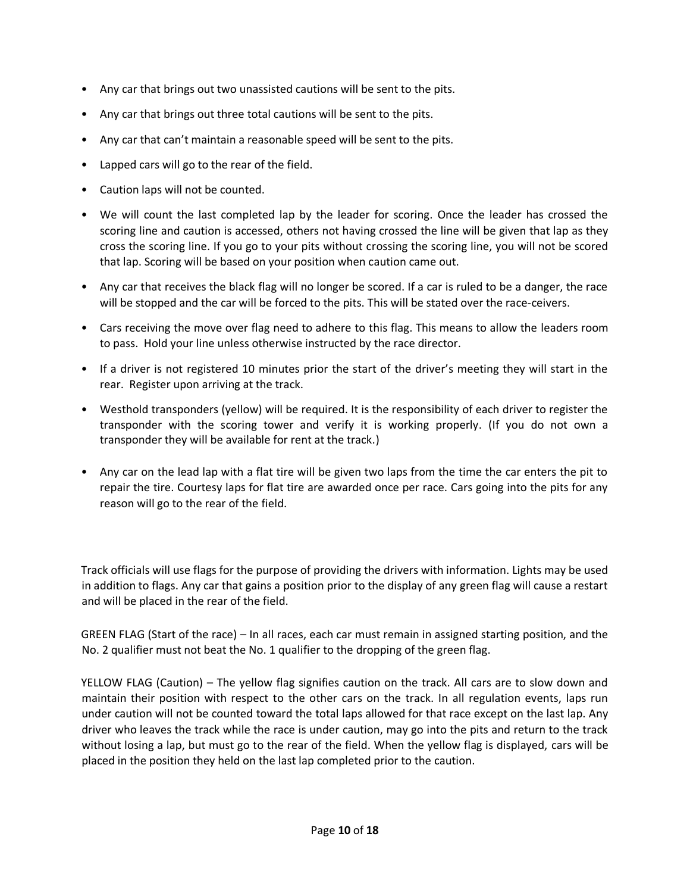- Any car that brings out two unassisted cautions will be sent to the pits.
- Any car that brings out three total cautions will be sent to the pits.
- Any car that can't maintain a reasonable speed will be sent to the pits.
- Lapped cars will go to the rear of the field.
- Caution laps will not be counted.
- We will count the last completed lap by the leader for scoring. Once the leader has crossed the scoring line and caution is accessed, others not having crossed the line will be given that lap as they cross the scoring line. If you go to your pits without crossing the scoring line, you will not be scored that lap. Scoring will be based on your position when caution came out.
- Any car that receives the black flag will no longer be scored. If a car is ruled to be a danger, the race will be stopped and the car will be forced to the pits. This will be stated over the race-ceivers.
- Cars receiving the move over flag need to adhere to this flag. This means to allow the leaders room to pass. Hold your line unless otherwise instructed by the race director.
- If a driver is not registered 10 minutes prior the start of the driver's meeting they will start in the rear. Register upon arriving at the track.
- Westhold transponders (yellow) will be required. It is the responsibility of each driver to register the transponder with the scoring tower and verify it is working properly. (If you do not own a transponder they will be available for rent at the track.)
- Any car on the lead lap with a flat tire will be given two laps from the time the car enters the pit to repair the tire. Courtesy laps for flat tire are awarded once per race. Cars going into the pits for any reason will go to the rear of the field.

Track officials will use flags for the purpose of providing the drivers with information. Lights may be used in addition to flags. Any car that gains a position prior to the display of any green flag will cause a restart and will be placed in the rear of the field.

GREEN FLAG (Start of the race) – In all races, each car must remain in assigned starting position, and the No. 2 qualifier must not beat the No. 1 qualifier to the dropping of the green flag.

YELLOW FLAG (Caution) – The yellow flag signifies caution on the track. All cars are to slow down and maintain their position with respect to the other cars on the track. In all regulation events, laps run under caution will not be counted toward the total laps allowed for that race except on the last lap. Any driver who leaves the track while the race is under caution, may go into the pits and return to the track without losing a lap, but must go to the rear of the field. When the yellow flag is displayed, cars will be placed in the position they held on the last lap completed prior to the caution.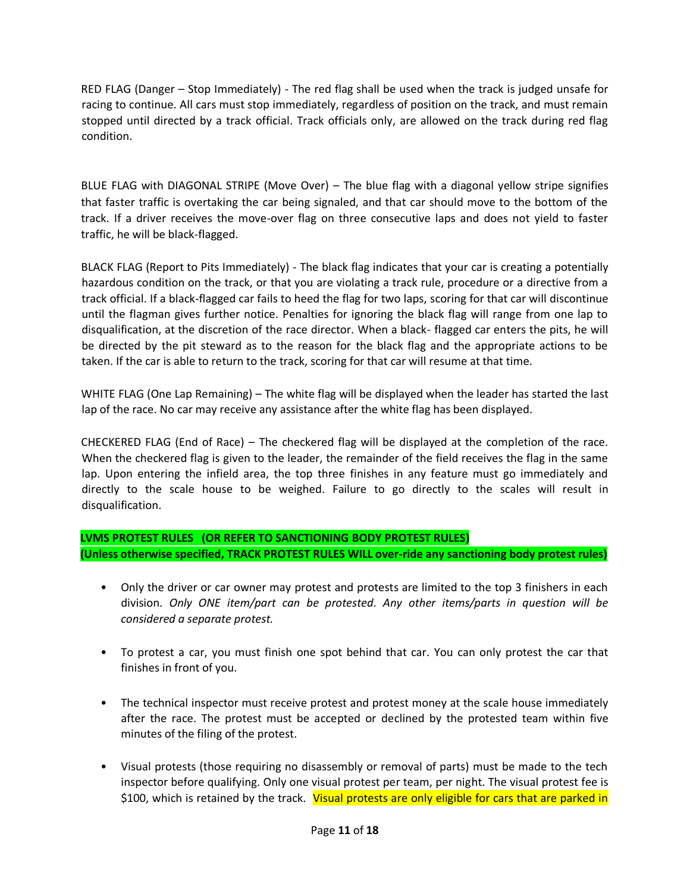RED FLAG (Danger – Stop Immediately) - The red flag shall be used when the track is judged unsafe for racing to continue. All cars must stop immediately, regardless of position on the track, and must remain stopped until directed by a track official. Track officials only, are allowed on the track during red flag condition.

BLUE FLAG with DIAGONAL STRIPE (Move Over) – The blue flag with a diagonal yellow stripe signifies that faster traffic is overtaking the car being signaled, and that car should move to the bottom of the track. If a driver receives the move-over flag on three consecutive laps and does not yield to faster traffic, he will be black-flagged.

BLACK FLAG (Report to Pits Immediately) - The black flag indicates that your car is creating a potentially hazardous condition on the track, or that you are violating a track rule, procedure or a directive from a track official. If a black-flagged car fails to heed the flag for two laps, scoring for that car will discontinue until the flagman gives further notice. Penalties for ignoring the black flag will range from one lap to disqualification, at the discretion of the race director. When a black- flagged car enters the pits, he will be directed by the pit steward as to the reason for the black flag and the appropriate actions to be taken. If the car is able to return to the track, scoring for that car will resume at that time.

WHITE FLAG (One Lap Remaining) – The white flag will be displayed when the leader has started the last lap of the race. No car may receive any assistance after the white flag has been displayed.

CHECKERED FLAG (End of Race) – The checkered flag will be displayed at the completion of the race. When the checkered flag is given to the leader, the remainder of the field receives the flag in the same lap. Upon entering the infield area, the top three finishes in any feature must go immediately and directly to the scale house to be weighed. Failure to go directly to the scales will result in disqualification.

**LVMS PROTEST RULES (OR REFER TO SANCTIONING BODY PROTEST RULES) (Unless otherwise specified, TRACK PROTEST RULES WILL over-ride any sanctioning body protest rules)**

- Only the driver or car owner may protest and protests are limited to the top 3 finishers in each division. *Only ONE item/part can be protested. Any other items/parts in question will be considered a separate protest.*
- To protest a car, you must finish one spot behind that car. You can only protest the car that finishes in front of you.
- The technical inspector must receive protest and protest money at the scale house immediately after the race. The protest must be accepted or declined by the protested team within five minutes of the filing of the protest.
- Visual protests (those requiring no disassembly or removal of parts) must be made to the tech inspector before qualifying. Only one visual protest per team, per night. The visual protest fee is \$100, which is retained by the track. Visual protests are only eligible for cars that are parked in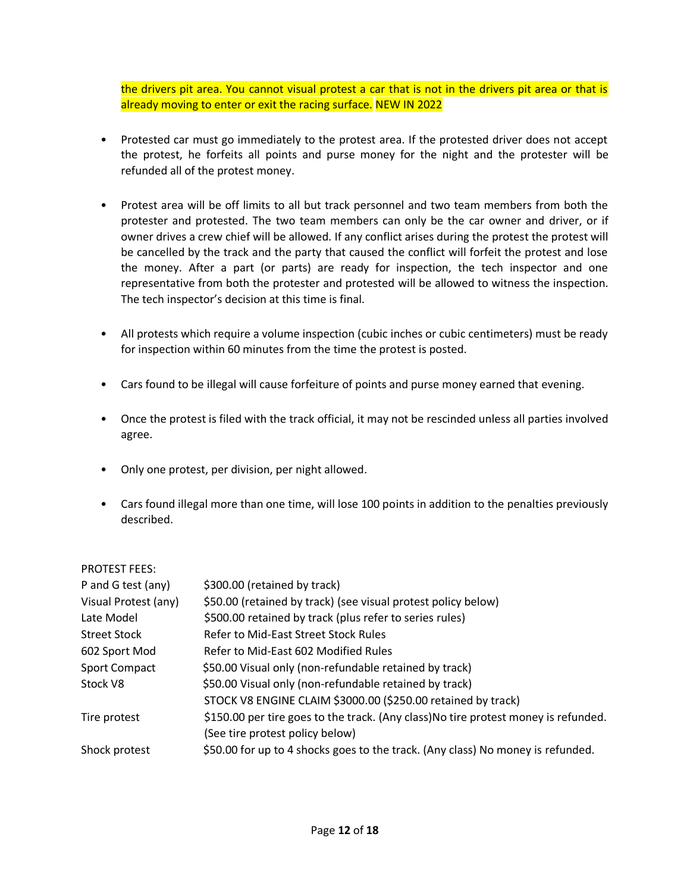the drivers pit area. You cannot visual protest a car that is not in the drivers pit area or that is already moving to enter or exit the racing surface. NEW IN 2022

- Protested car must go immediately to the protest area. If the protested driver does not accept the protest, he forfeits all points and purse money for the night and the protester will be refunded all of the protest money.
- Protest area will be off limits to all but track personnel and two team members from both the protester and protested. The two team members can only be the car owner and driver, or if owner drives a crew chief will be allowed. If any conflict arises during the protest the protest will be cancelled by the track and the party that caused the conflict will forfeit the protest and lose the money. After a part (or parts) are ready for inspection, the tech inspector and one representative from both the protester and protested will be allowed to witness the inspection. The tech inspector's decision at this time is final.
- All protests which require a volume inspection (cubic inches or cubic centimeters) must be ready for inspection within 60 minutes from the time the protest is posted.
- Cars found to be illegal will cause forfeiture of points and purse money earned that evening.
- Once the protest is filed with the track official, it may not be rescinded unless all parties involved agree.
- Only one protest, per division, per night allowed.
- Cars found illegal more than one time, will lose 100 points in addition to the penalties previously described.

#### PROTEST FEES:

| P and G test (any)   | \$300.00 (retained by track)                                                        |
|----------------------|-------------------------------------------------------------------------------------|
| Visual Protest (any) | \$50.00 (retained by track) (see visual protest policy below)                       |
| Late Model           | \$500.00 retained by track (plus refer to series rules)                             |
| <b>Street Stock</b>  | Refer to Mid-East Street Stock Rules                                                |
| 602 Sport Mod        | Refer to Mid-East 602 Modified Rules                                                |
| <b>Sport Compact</b> | \$50.00 Visual only (non-refundable retained by track)                              |
| Stock V8             | \$50.00 Visual only (non-refundable retained by track)                              |
|                      | STOCK V8 ENGINE CLAIM \$3000.00 (\$250.00 retained by track)                        |
| Tire protest         | \$150.00 per tire goes to the track. (Any class) No tire protest money is refunded. |
|                      | (See tire protest policy below)                                                     |
| Shock protest        | \$50.00 for up to 4 shocks goes to the track. (Any class) No money is refunded.     |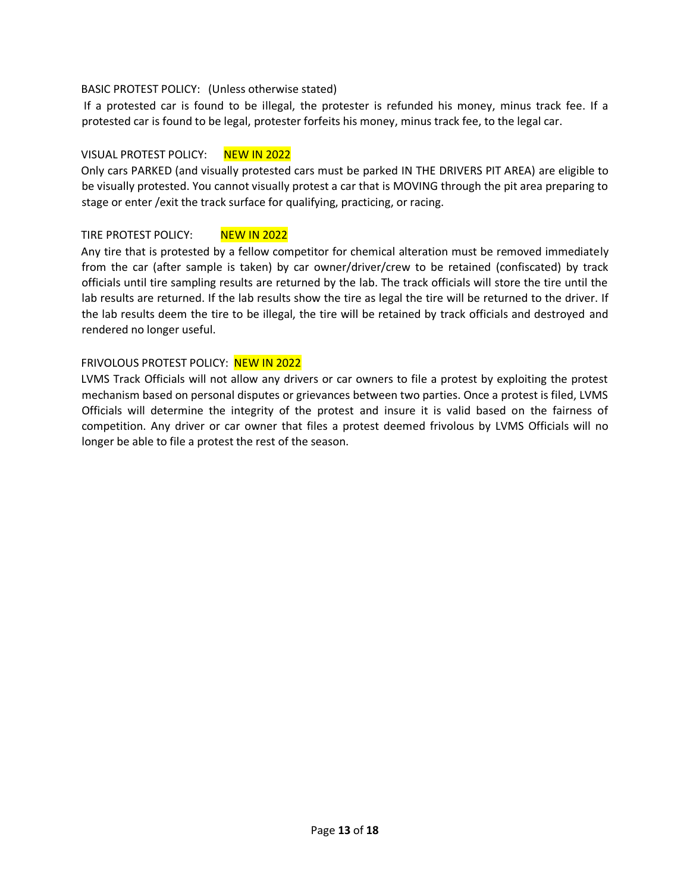#### BASIC PROTEST POLICY: (Unless otherwise stated)

If a protested car is found to be illegal, the protester is refunded his money, minus track fee. If a protested car is found to be legal, protester forfeits his money, minus track fee, to the legal car.

#### VISUAL PROTEST POLICY: NEW IN 2022

Only cars PARKED (and visually protested cars must be parked IN THE DRIVERS PIT AREA) are eligible to be visually protested. You cannot visually protest a car that is MOVING through the pit area preparing to stage or enter /exit the track surface for qualifying, practicing, or racing.

#### TIRE PROTEST POLICY: NEW IN 2022

Any tire that is protested by a fellow competitor for chemical alteration must be removed immediately from the car (after sample is taken) by car owner/driver/crew to be retained (confiscated) by track officials until tire sampling results are returned by the lab. The track officials will store the tire until the lab results are returned. If the lab results show the tire as legal the tire will be returned to the driver. If the lab results deem the tire to be illegal, the tire will be retained by track officials and destroyed and rendered no longer useful.

#### FRIVOLOUS PROTEST POLICY: NEW IN 2022

LVMS Track Officials will not allow any drivers or car owners to file a protest by exploiting the protest mechanism based on personal disputes or grievances between two parties. Once a protest is filed, LVMS Officials will determine the integrity of the protest and insure it is valid based on the fairness of competition. Any driver or car owner that files a protest deemed frivolous by LVMS Officials will no longer be able to file a protest the rest of the season.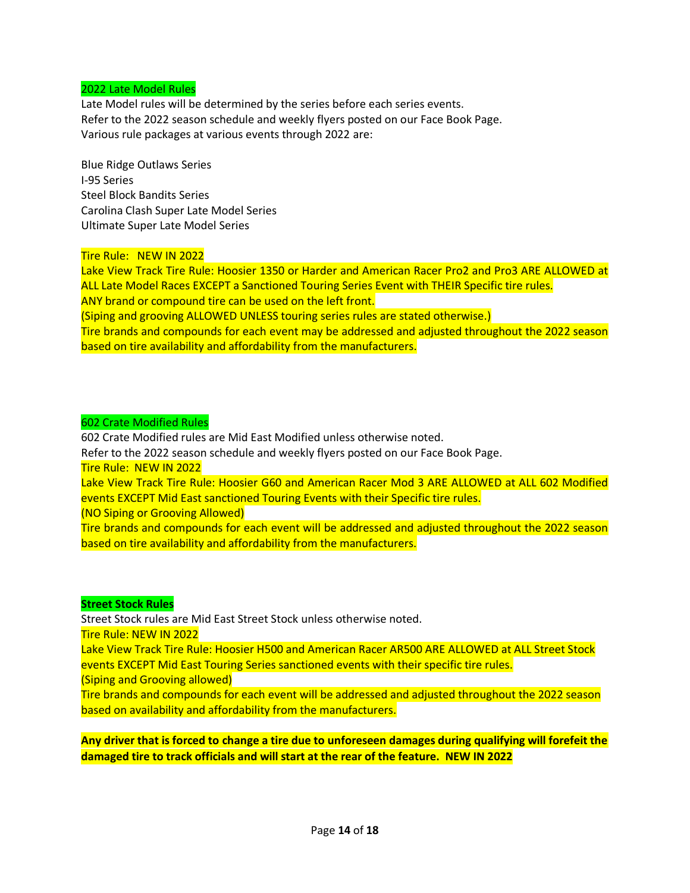#### 2022 Late Model Rules

Late Model rules will be determined by the series before each series events. Refer to the 2022 season schedule and weekly flyers posted on our Face Book Page. Various rule packages at various events through 2022 are:

Blue Ridge Outlaws Series I-95 Series Steel Block Bandits Series Carolina Clash Super Late Model Series Ultimate Super Late Model Series

#### Tire Rule: NEW IN 2022

Lake View Track Tire Rule: Hoosier 1350 or Harder and American Racer Pro2 and Pro3 ARE ALLOWED at ALL Late Model Races EXCEPT a Sanctioned Touring Series Event with THEIR Specific tire rules. ANY brand or compound tire can be used on the left front. (Siping and grooving ALLOWED UNLESS touring series rules are stated otherwise.) Tire brands and compounds for each event may be addressed and adjusted throughout the 2022 season based on tire availability and affordability from the manufacturers.

#### 602 Crate Modified Rules

602 Crate Modified rules are Mid East Modified unless otherwise noted. Refer to the 2022 season schedule and weekly flyers posted on our Face Book Page. Tire Rule: NEW IN 2022 Lake View Track Tire Rule: Hoosier G60 and American Racer Mod 3 ARE ALLOWED at ALL 602 Modified events EXCEPT Mid East sanctioned Touring Events with their Specific tire rules. (NO Siping or Grooving Allowed) Tire brands and compounds for each event will be addressed and adjusted throughout the 2022 season based on tire availability and affordability from the manufacturers.

#### **Street Stock Rules**

Street Stock rules are Mid East Street Stock unless otherwise noted. Tire Rule: NEW IN 2022 Lake View Track Tire Rule: Hoosier H500 and American Racer AR500 ARE ALLOWED at ALL Street Stock events EXCEPT Mid East Touring Series sanctioned events with their specific tire rules. (Siping and Grooving allowed) Tire brands and compounds for each event will be addressed and adjusted throughout the 2022 season based on availability and affordability from the manufacturers.

**Any driver that is forced to change a tire due to unforeseen damages during qualifying will forefeit the damaged tire to track officials and will start at the rear of the feature. NEW IN 2022**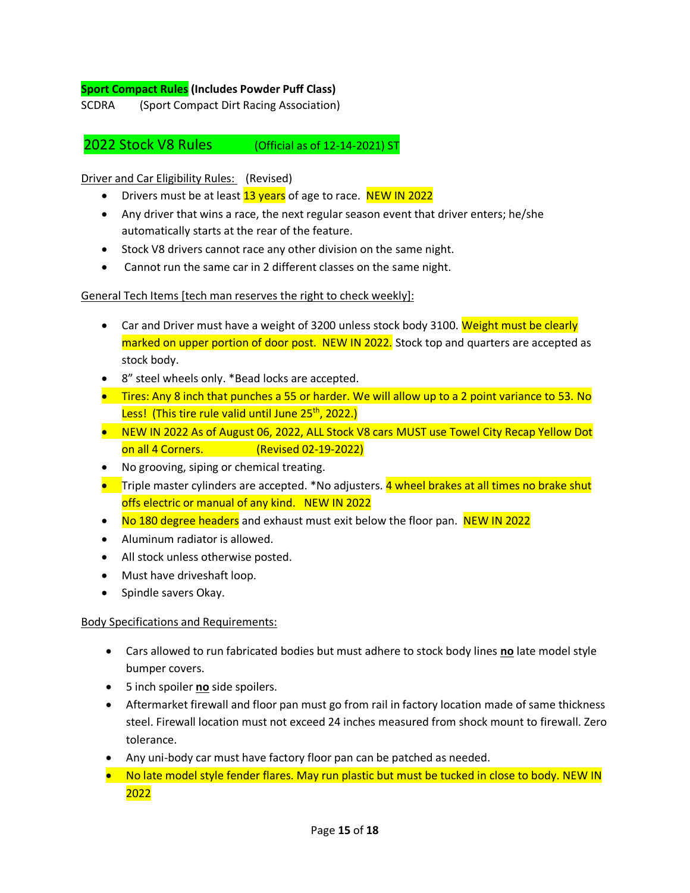#### **Sport Compact Rules (Includes Powder Puff Class)**

SCDRA (Sport Compact Dirt Racing Association)

2022 Stock V8 Rules (Official as of 12-14-2021) ST

#### Driver and Car Eligibility Rules: (Revised)

- Drivers must be at least 13 years of age to race. NEW IN 2022
- Any driver that wins a race, the next regular season event that driver enters; he/she automatically starts at the rear of the feature.
- Stock V8 drivers cannot race any other division on the same night.
- Cannot run the same car in 2 different classes on the same night.

#### General Tech Items [tech man reserves the right to check weekly]:

- Car and Driver must have a weight of 3200 unless stock body 3100. Weight must be clearly marked on upper portion of door post. NEW IN 2022. Stock top and quarters are accepted as stock body.
- 8" steel wheels only. \*Bead locks are accepted.
- Tires: Any 8 inch that punches a 55 or harder. We will allow up to a 2 point variance to 53. No Less! (This tire rule valid until June 25<sup>th</sup>, 2022.)
- NEW IN 2022 As of August 06, 2022, ALL Stock V8 cars MUST use Towel City Recap Yellow Dot on all 4 Corners. (Revised 02-19-2022)
- No grooving, siping or chemical treating.
- Triple master cylinders are accepted. \*No adjusters. 4 wheel brakes at all times no brake shut offs electric or manual of any kind. NEW IN 2022
- No 180 degree headers and exhaust must exit below the floor pan. NEW IN 2022
- Aluminum radiator is allowed.
- All stock unless otherwise posted.
- Must have driveshaft loop.
- Spindle savers Okay.

#### Body Specifications and Requirements:

- Cars allowed to run fabricated bodies but must adhere to stock body lines **no** late model style bumper covers.
- 5 inch spoiler **no** side spoilers.
- Aftermarket firewall and floor pan must go from rail in factory location made of same thickness steel. Firewall location must not exceed 24 inches measured from shock mount to firewall. Zero tolerance.
- Any uni-body car must have factory floor pan can be patched as needed.
- No late model style fender flares. May run plastic but must be tucked in close to body. NEW IN 2022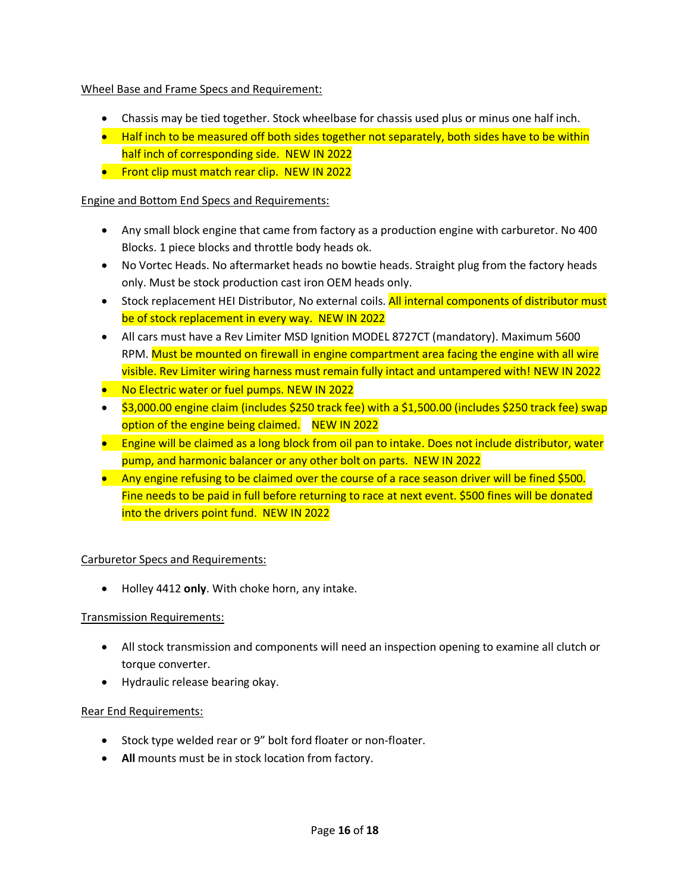Wheel Base and Frame Specs and Requirement:

- Chassis may be tied together. Stock wheelbase for chassis used plus or minus one half inch.
- Half inch to be measured off both sides together not separately, both sides have to be within half inch of corresponding side. NEW IN 2022
- Front clip must match rear clip. NEW IN 2022

#### Engine and Bottom End Specs and Requirements:

- Any small block engine that came from factory as a production engine with carburetor. No 400 Blocks. 1 piece blocks and throttle body heads ok.
- No Vortec Heads. No aftermarket heads no bowtie heads. Straight plug from the factory heads only. Must be stock production cast iron OEM heads only.
- Stock replacement HEI Distributor, No external coils. All internal components of distributor must be of stock replacement in every way. NEW IN 2022
- All cars must have a Rev Limiter MSD Ignition MODEL 8727CT (mandatory). Maximum 5600 RPM. Must be mounted on firewall in engine compartment area facing the engine with all wire visible. Rev Limiter wiring harness must remain fully intact and untampered with! NEW IN 2022
- No Electric water or fuel pumps. NEW IN 2022
- \$3,000.00 engine claim (includes \$250 track fee) with a \$1,500.00 (includes \$250 track fee) swap option of the engine being claimed. NEW IN 2022
- Engine will be claimed as a long block from oil pan to intake. Does not include distributor, water pump, and harmonic balancer or any other bolt on parts. NEW IN 2022
- Any engine refusing to be claimed over the course of a race season driver will be fined \$500. Fine needs to be paid in full before returning to race at next event. \$500 fines will be donated into the drivers point fund. NEW IN 2022

#### Carburetor Specs and Requirements:

• Holley 4412 **only**. With choke horn, any intake.

#### Transmission Requirements:

- All stock transmission and components will need an inspection opening to examine all clutch or torque converter.
- Hydraulic release bearing okay.

#### Rear End Requirements:

- Stock type welded rear or 9" bolt ford floater or non-floater.
- **All** mounts must be in stock location from factory.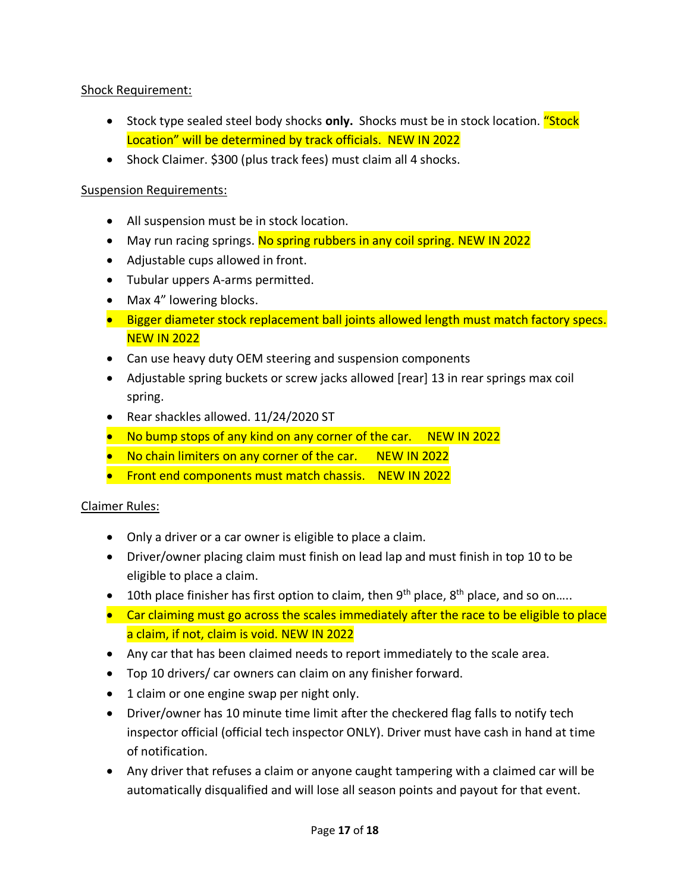# Shock Requirement:

- Stock type sealed steel body shocks **only.** Shocks must be in stock location. "Stock Location" will be determined by track officials. NEW IN 2022
- Shock Claimer. \$300 (plus track fees) must claim all 4 shocks.

## Suspension Requirements:

- All suspension must be in stock location.
- May run racing springs. No spring rubbers in any coil spring. NEW IN 2022
- Adjustable cups allowed in front.
- Tubular uppers A-arms permitted.
- Max 4" lowering blocks.
- Bigger diameter stock replacement ball joints allowed length must match factory specs. NEW IN 2022
- Can use heavy duty OEM steering and suspension components
- Adjustable spring buckets or screw jacks allowed [rear] 13 in rear springs max coil spring.
- Rear shackles allowed. 11/24/2020 ST
- No bump stops of any kind on any corner of the car. NEW IN 2022
- No chain limiters on any corner of the car. NEW IN 2022
- Front end components must match chassis. NEW IN 2022

# Claimer Rules:

- Only a driver or a car owner is eligible to place a claim.
- Driver/owner placing claim must finish on lead lap and must finish in top 10 to be eligible to place a claim.
- 10th place finisher has first option to claim, then  $9<sup>th</sup>$  place,  $8<sup>th</sup>$  place, and so on....
- Car claiming must go across the scales immediately after the race to be eligible to place a claim, if not, claim is void. NEW IN 2022
- Any car that has been claimed needs to report immediately to the scale area.
- Top 10 drivers/ car owners can claim on any finisher forward.
- 1 claim or one engine swap per night only.
- Driver/owner has 10 minute time limit after the checkered flag falls to notify tech inspector official (official tech inspector ONLY). Driver must have cash in hand at time of notification.
- Any driver that refuses a claim or anyone caught tampering with a claimed car will be automatically disqualified and will lose all season points and payout for that event.